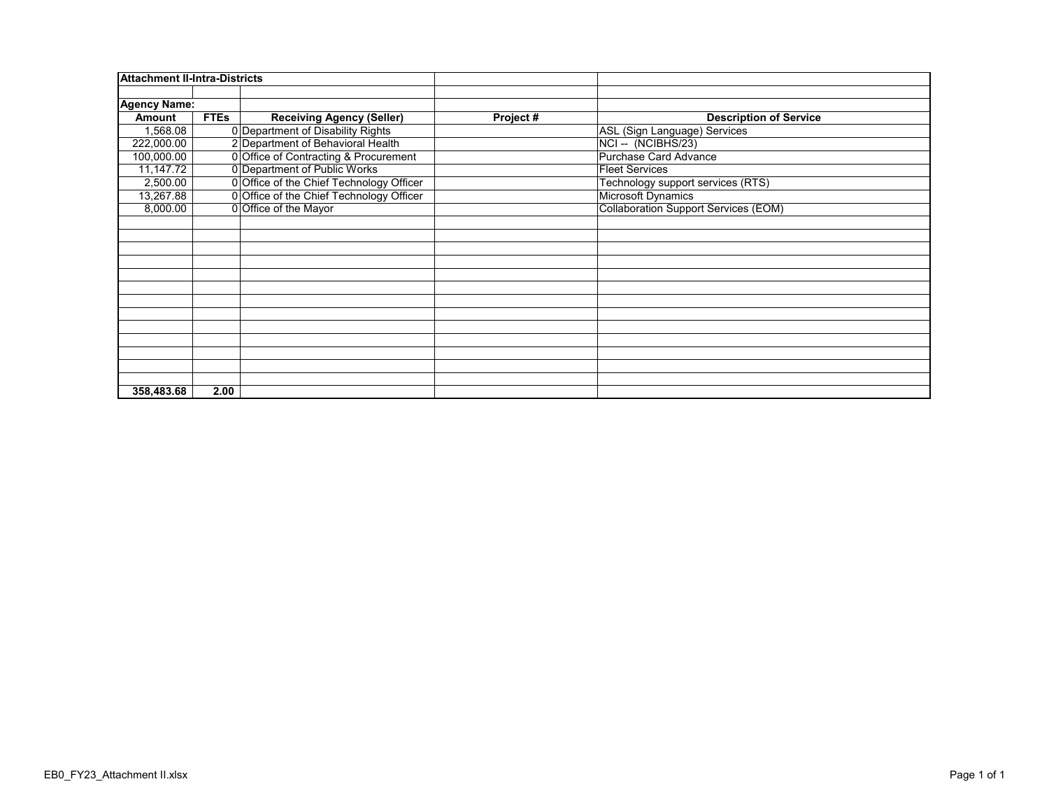| Attachment II-Intra-Districts |             |                                          |                                             |
|-------------------------------|-------------|------------------------------------------|---------------------------------------------|
|                               |             |                                          |                                             |
| <b>Agency Name:</b>           |             |                                          |                                             |
| <b>Amount</b>                 | <b>FTEs</b> | <b>Receiving Agency (Seller)</b>         | Project #<br><b>Description of Service</b>  |
| 1,568.08                      |             | 0 Department of Disability Rights        | ASL (Sign Language) Services                |
| 222,000.00                    |             | 2 Department of Behavioral Health        | NCI-- (NCIBHS/23)                           |
| 100,000.00                    |             | 0 Office of Contracting & Procurement    | <b>Purchase Card Advance</b>                |
| 11,147.72                     |             | 0 Department of Public Works             | <b>Fleet Services</b>                       |
| 2,500.00                      |             | 0 Office of the Chief Technology Officer | Technology support services (RTS)           |
| 13,267.88                     |             | 0 Office of the Chief Technology Officer | <b>Microsoft Dynamics</b>                   |
| 8,000.00                      |             | 0 Office of the Mayor                    | <b>Collaboration Support Services (EOM)</b> |
|                               |             |                                          |                                             |
|                               |             |                                          |                                             |
|                               |             |                                          |                                             |
|                               |             |                                          |                                             |
|                               |             |                                          |                                             |
|                               |             |                                          |                                             |
|                               |             |                                          |                                             |
|                               |             |                                          |                                             |
|                               |             |                                          |                                             |
|                               |             |                                          |                                             |
|                               |             |                                          |                                             |
|                               |             |                                          |                                             |
|                               |             |                                          |                                             |
| 358,483.68                    | 2.00        |                                          |                                             |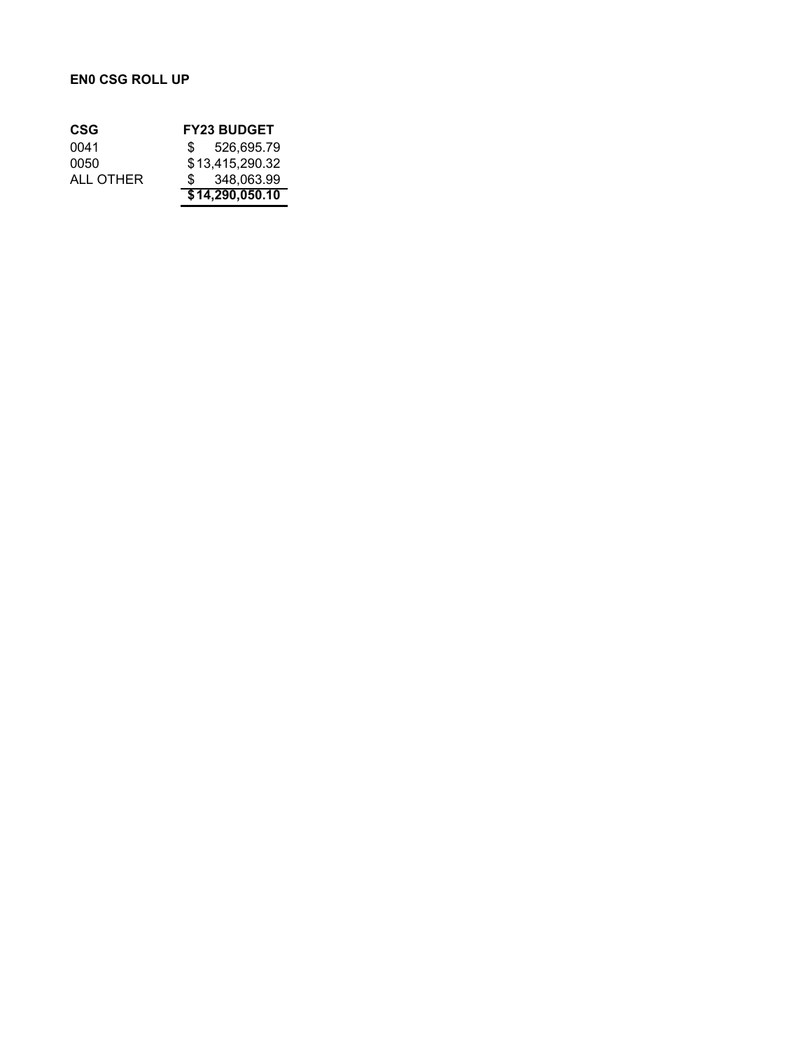## **EN0 CSG ROLL UP**

| CSG       | <b>FY23 BUDGET</b> |
|-----------|--------------------|
| 0041      | \$ 526,695.79      |
| 0050      | \$13,415,290.32    |
| ALL OTHER | \$ 348,063,99      |
|           | \$14,290,050.10    |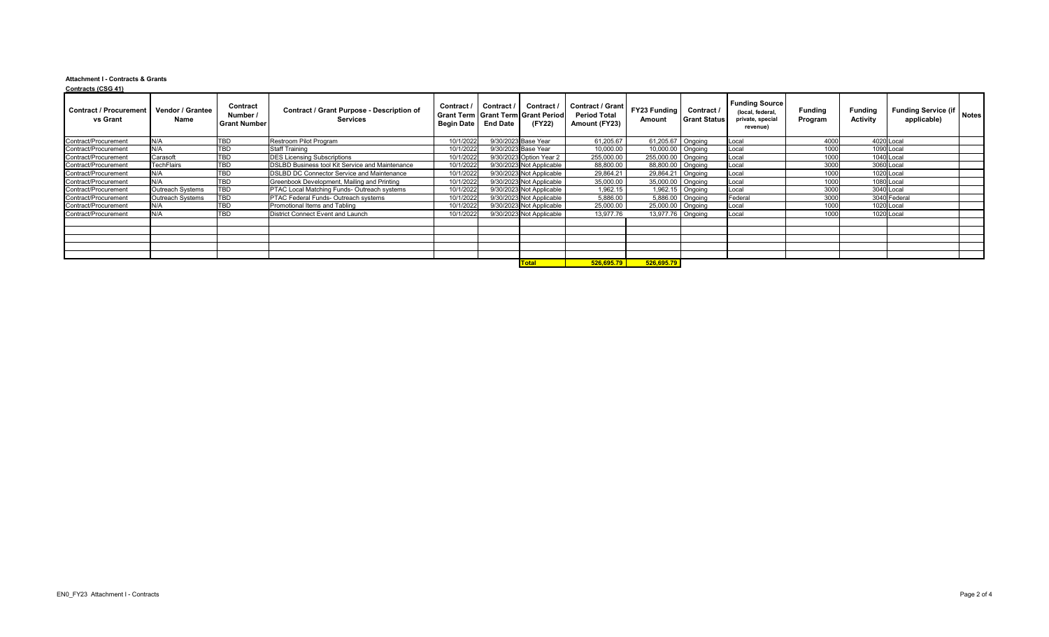## **Attachment I - Contracts & Grants Contracts (CSG 41)**

| <b>Funding Source</b><br>Contract / Grant<br><b>Contract</b><br>Contract /<br>Contract /<br>Contract /<br><b>FY23 Funding</b><br>Funding Service (if   Notes <sup>)</sup><br><b>Contract / Grant Purpose - Description of</b><br><b>Vendor / Grantee</b><br>Contract /<br><b>Funding</b><br><b>Funding</b><br>(local, federal,<br>Number /<br><b>Period Total</b><br><b>Grant Term   Grant Term   Grant Period</b><br><b>Activity</b><br>applicable)<br><b>Services</b><br><b>Grant Status</b><br>vs Grant<br>Name<br>private, special<br><b>Amount</b><br>Program<br>Amount (FY23)<br>Begin Date   End Date<br>(FY22)<br><b>Grant Number</b><br>revenue)<br>TBD<br>10/1/2022<br>9/30/2023 Base Year<br>61,205.67<br>61,205.67 Ongoing<br>4000<br>4020 Local<br>N/A<br>Restroom Pilot Program<br>Local<br>1000<br>N/A<br><b>TBD</b><br>9/30/2023 Base Year<br>10,000.00<br>1090 Local<br>10/1/2022<br>10,000.00   Ongoing<br><b>Staff Training</b><br>Local<br>1000<br><b>TBD</b><br>1040 Local<br>Carasoft<br>10/1/2022<br>9/30/2023 Option Year 2<br>255,000.00   Ongoing<br><b>DES Licensing Subscriptions</b><br>255,000.00<br>Local<br><b>TBD</b><br>9/30/2023 Not Applicable<br>3000<br>3060 Local<br>10/1/2022<br>88,800.00<br><b>TechFlairs</b><br><b>DSLBD Business tool Kit Service and Maintenance</b><br>88,800.00   Ongoing<br>Local<br>TBD<br>1000<br>N/A<br>29,864.21<br>1020 Local<br>10/1/2022<br>9/30/2023 Not Applicable<br>29,864.21 Ongoing<br>Local<br><b>DSLBD DC Connector Service and Maintenance</b><br>N/A<br><b>TBD</b><br>9/30/2023 Not Applicable<br>1000<br>1080 Local<br>10/1/2022<br>35,000.00<br>35,000.00   Ongoing<br>Greenbook Development, Mailing and Printing<br>Local<br><b>TBD</b><br>3000<br>3040 Local<br>10/1/2022<br>9/30/2023 Not Applicable<br>1,962.15<br>1,962.15 $\big $ Ongoing<br><b>Outreach Systems</b><br><b>PTAC Local Matching Funds- Outreach systems</b><br>Local<br>TBD<br>3000<br>10/1/2022<br>3040 Federal<br>9/30/2023 Not Applicable<br>5,886.00<br>5,886.00   Ongoing<br><b>Outreach Systems</b><br><b>PTAC Federal Funds- Outreach systems</b><br>Federal<br><b>TBD</b><br>9/30/2023 Not Applicable<br>1000<br>1020 Local<br>N/A<br>10/1/2022<br>25,000.00<br>25,000.00   Ongoing<br>Promotional Items and Tabling<br>Local<br><b>TBD</b><br>1000<br>1020 Local<br>N/A<br>10/1/2022<br>9/30/2023 Not Applicable<br>13,977.76<br>13,977.76   Ongoing<br><b>District Connect Event and Launch</b><br>Local<br>526,695.79<br>526,695.79<br>Total | <u> vulliauts</u> (vuu +1)    |  |  |  |  |  |  |  |
|------------------------------------------------------------------------------------------------------------------------------------------------------------------------------------------------------------------------------------------------------------------------------------------------------------------------------------------------------------------------------------------------------------------------------------------------------------------------------------------------------------------------------------------------------------------------------------------------------------------------------------------------------------------------------------------------------------------------------------------------------------------------------------------------------------------------------------------------------------------------------------------------------------------------------------------------------------------------------------------------------------------------------------------------------------------------------------------------------------------------------------------------------------------------------------------------------------------------------------------------------------------------------------------------------------------------------------------------------------------------------------------------------------------------------------------------------------------------------------------------------------------------------------------------------------------------------------------------------------------------------------------------------------------------------------------------------------------------------------------------------------------------------------------------------------------------------------------------------------------------------------------------------------------------------------------------------------------------------------------------------------------------------------------------------------------------------------------------------------------------------------------------------------------------------------------------------------------------------------------------------------------------------------------------------------------------------------------------------------------------------------------------------------------------------------------------------------------------------------------------------------------|-------------------------------|--|--|--|--|--|--|--|
|                                                                                                                                                                                                                                                                                                                                                                                                                                                                                                                                                                                                                                                                                                                                                                                                                                                                                                                                                                                                                                                                                                                                                                                                                                                                                                                                                                                                                                                                                                                                                                                                                                                                                                                                                                                                                                                                                                                                                                                                                                                                                                                                                                                                                                                                                                                                                                                                                                                                                                                  | <b>Contract / Procurement</b> |  |  |  |  |  |  |  |
|                                                                                                                                                                                                                                                                                                                                                                                                                                                                                                                                                                                                                                                                                                                                                                                                                                                                                                                                                                                                                                                                                                                                                                                                                                                                                                                                                                                                                                                                                                                                                                                                                                                                                                                                                                                                                                                                                                                                                                                                                                                                                                                                                                                                                                                                                                                                                                                                                                                                                                                  | Contract/Procurement          |  |  |  |  |  |  |  |
|                                                                                                                                                                                                                                                                                                                                                                                                                                                                                                                                                                                                                                                                                                                                                                                                                                                                                                                                                                                                                                                                                                                                                                                                                                                                                                                                                                                                                                                                                                                                                                                                                                                                                                                                                                                                                                                                                                                                                                                                                                                                                                                                                                                                                                                                                                                                                                                                                                                                                                                  | Contract/Procurement          |  |  |  |  |  |  |  |
|                                                                                                                                                                                                                                                                                                                                                                                                                                                                                                                                                                                                                                                                                                                                                                                                                                                                                                                                                                                                                                                                                                                                                                                                                                                                                                                                                                                                                                                                                                                                                                                                                                                                                                                                                                                                                                                                                                                                                                                                                                                                                                                                                                                                                                                                                                                                                                                                                                                                                                                  | Contract/Procurement          |  |  |  |  |  |  |  |
|                                                                                                                                                                                                                                                                                                                                                                                                                                                                                                                                                                                                                                                                                                                                                                                                                                                                                                                                                                                                                                                                                                                                                                                                                                                                                                                                                                                                                                                                                                                                                                                                                                                                                                                                                                                                                                                                                                                                                                                                                                                                                                                                                                                                                                                                                                                                                                                                                                                                                                                  | Contract/Procurement          |  |  |  |  |  |  |  |
|                                                                                                                                                                                                                                                                                                                                                                                                                                                                                                                                                                                                                                                                                                                                                                                                                                                                                                                                                                                                                                                                                                                                                                                                                                                                                                                                                                                                                                                                                                                                                                                                                                                                                                                                                                                                                                                                                                                                                                                                                                                                                                                                                                                                                                                                                                                                                                                                                                                                                                                  | Contract/Procurement          |  |  |  |  |  |  |  |
|                                                                                                                                                                                                                                                                                                                                                                                                                                                                                                                                                                                                                                                                                                                                                                                                                                                                                                                                                                                                                                                                                                                                                                                                                                                                                                                                                                                                                                                                                                                                                                                                                                                                                                                                                                                                                                                                                                                                                                                                                                                                                                                                                                                                                                                                                                                                                                                                                                                                                                                  | Contract/Procurement          |  |  |  |  |  |  |  |
|                                                                                                                                                                                                                                                                                                                                                                                                                                                                                                                                                                                                                                                                                                                                                                                                                                                                                                                                                                                                                                                                                                                                                                                                                                                                                                                                                                                                                                                                                                                                                                                                                                                                                                                                                                                                                                                                                                                                                                                                                                                                                                                                                                                                                                                                                                                                                                                                                                                                                                                  | Contract/Procurement          |  |  |  |  |  |  |  |
|                                                                                                                                                                                                                                                                                                                                                                                                                                                                                                                                                                                                                                                                                                                                                                                                                                                                                                                                                                                                                                                                                                                                                                                                                                                                                                                                                                                                                                                                                                                                                                                                                                                                                                                                                                                                                                                                                                                                                                                                                                                                                                                                                                                                                                                                                                                                                                                                                                                                                                                  | Contract/Procurement          |  |  |  |  |  |  |  |
|                                                                                                                                                                                                                                                                                                                                                                                                                                                                                                                                                                                                                                                                                                                                                                                                                                                                                                                                                                                                                                                                                                                                                                                                                                                                                                                                                                                                                                                                                                                                                                                                                                                                                                                                                                                                                                                                                                                                                                                                                                                                                                                                                                                                                                                                                                                                                                                                                                                                                                                  | Contract/Procurement          |  |  |  |  |  |  |  |
|                                                                                                                                                                                                                                                                                                                                                                                                                                                                                                                                                                                                                                                                                                                                                                                                                                                                                                                                                                                                                                                                                                                                                                                                                                                                                                                                                                                                                                                                                                                                                                                                                                                                                                                                                                                                                                                                                                                                                                                                                                                                                                                                                                                                                                                                                                                                                                                                                                                                                                                  | Contract/Procurement          |  |  |  |  |  |  |  |
|                                                                                                                                                                                                                                                                                                                                                                                                                                                                                                                                                                                                                                                                                                                                                                                                                                                                                                                                                                                                                                                                                                                                                                                                                                                                                                                                                                                                                                                                                                                                                                                                                                                                                                                                                                                                                                                                                                                                                                                                                                                                                                                                                                                                                                                                                                                                                                                                                                                                                                                  |                               |  |  |  |  |  |  |  |
|                                                                                                                                                                                                                                                                                                                                                                                                                                                                                                                                                                                                                                                                                                                                                                                                                                                                                                                                                                                                                                                                                                                                                                                                                                                                                                                                                                                                                                                                                                                                                                                                                                                                                                                                                                                                                                                                                                                                                                                                                                                                                                                                                                                                                                                                                                                                                                                                                                                                                                                  |                               |  |  |  |  |  |  |  |
|                                                                                                                                                                                                                                                                                                                                                                                                                                                                                                                                                                                                                                                                                                                                                                                                                                                                                                                                                                                                                                                                                                                                                                                                                                                                                                                                                                                                                                                                                                                                                                                                                                                                                                                                                                                                                                                                                                                                                                                                                                                                                                                                                                                                                                                                                                                                                                                                                                                                                                                  |                               |  |  |  |  |  |  |  |
|                                                                                                                                                                                                                                                                                                                                                                                                                                                                                                                                                                                                                                                                                                                                                                                                                                                                                                                                                                                                                                                                                                                                                                                                                                                                                                                                                                                                                                                                                                                                                                                                                                                                                                                                                                                                                                                                                                                                                                                                                                                                                                                                                                                                                                                                                                                                                                                                                                                                                                                  |                               |  |  |  |  |  |  |  |
|                                                                                                                                                                                                                                                                                                                                                                                                                                                                                                                                                                                                                                                                                                                                                                                                                                                                                                                                                                                                                                                                                                                                                                                                                                                                                                                                                                                                                                                                                                                                                                                                                                                                                                                                                                                                                                                                                                                                                                                                                                                                                                                                                                                                                                                                                                                                                                                                                                                                                                                  |                               |  |  |  |  |  |  |  |
|                                                                                                                                                                                                                                                                                                                                                                                                                                                                                                                                                                                                                                                                                                                                                                                                                                                                                                                                                                                                                                                                                                                                                                                                                                                                                                                                                                                                                                                                                                                                                                                                                                                                                                                                                                                                                                                                                                                                                                                                                                                                                                                                                                                                                                                                                                                                                                                                                                                                                                                  |                               |  |  |  |  |  |  |  |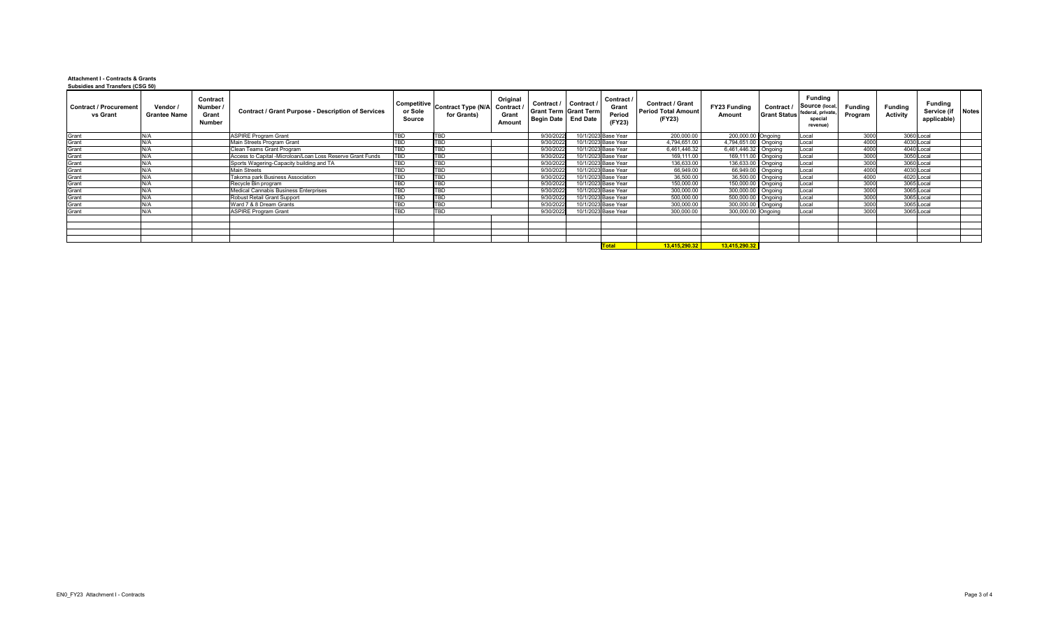**Attachment I - Contracts & Grants Subsidies and Transfers (CSG 50)**

| <b>Contract / Procurement</b><br>vs Grant | Vendor /<br><b>Grantee Name</b> | <b>Contract</b><br>Number /<br><b>Grant</b><br><b>Number</b> | <b>Contract / Grant Purpose - Description of Services</b>  | or Sole<br><b>Source</b> | Competitive Contract Type (N/A   2<br>for Grants) | Original<br>Contract /<br><b>Grant</b><br><b>Amount</b> | <b>Contract /</b><br><b>Grant Term Grant Term</b><br>Begin Date   End Date | Contract / | Contract /<br><b>Grant</b><br>Period<br>(FY23) | <b>Contract / Grant</b><br><b>Period Total Amount</b><br>(FY23) | <b>FY23 Funding</b><br><b>Amount</b> | Contract / | <b>Funding</b><br>Source (local,<br><sup>I</sup> Grant Status <sup>  federal, private,  </sup><br>special<br><b>revenue</b> | <b>Funding</b><br>Program | <b>Funding</b><br><b>Activity</b> | <b>Funding</b><br>Service (if   Notes  <br>applicable) |  |
|-------------------------------------------|---------------------------------|--------------------------------------------------------------|------------------------------------------------------------|--------------------------|---------------------------------------------------|---------------------------------------------------------|----------------------------------------------------------------------------|------------|------------------------------------------------|-----------------------------------------------------------------|--------------------------------------|------------|-----------------------------------------------------------------------------------------------------------------------------|---------------------------|-----------------------------------|--------------------------------------------------------|--|
| Grant                                     | N/A                             |                                                              | <b>ASPIRE Program Grant</b>                                | TBD                      | <b>TBD</b>                                        |                                                         | 9/30/2022                                                                  |            | 10/1/2023 Base Year                            | 200,000.00                                                      | 200,000.00 Ongoing                   |            | Local                                                                                                                       | 3000                      | 3060 Local                        |                                                        |  |
| Grant                                     | N/A                             |                                                              | Main Streets Program Grant                                 | TBD                      | <b>TBD</b>                                        |                                                         | 9/30/2022                                                                  |            | 10/1/2023 Base Year                            | 4,794,651.00                                                    | 4,794,651.00   Ongoing               |            | Local                                                                                                                       | 4000                      | 4030 Local                        |                                                        |  |
| Grant                                     | N/A                             |                                                              | Clean Teams Grant Program                                  | TBD                      | <b>TBD</b>                                        |                                                         | 9/30/2022                                                                  |            | 10/1/2023 Base Year                            | 6,461,446.32                                                    | 6,461,446.32 Ongoing                 |            | Local                                                                                                                       | 4000                      | 4040 Local                        |                                                        |  |
| Grant                                     | N/A                             |                                                              | Access to Capital -Microloan/Loan Loss Reserve Grant Funds | TBD                      | <b>TBD</b>                                        |                                                         | 9/30/2022                                                                  |            | 10/1/2023 Base Year                            | 169,111.00                                                      | 169,111.00   Ongoing                 |            | Local                                                                                                                       | 3000                      | 3050 Local                        |                                                        |  |
| Grant                                     | N/A                             |                                                              | Sports Wagering-Capacity building and TA                   | TBD                      | TBD                                               |                                                         | 9/30/2022                                                                  |            | 10/1/2023 Base Year                            | 136,633.00                                                      | 136,633.00 Ongoing                   |            | Local                                                                                                                       | 3000                      | 3060 Local                        |                                                        |  |
| Grant                                     | N/A                             |                                                              | <b>Main Streets</b>                                        | TBD                      | <b>TBD</b>                                        |                                                         | 9/30/2022                                                                  |            | 10/1/2023 Base Year                            | 66,949.00                                                       | 66,949.00 Ongoing                    |            | Local                                                                                                                       | 4000                      | 4030 Local                        |                                                        |  |
| Grant                                     | IN/A                            |                                                              | Takoma park Business Association                           | TBD                      | <b>TBD</b>                                        |                                                         | 9/30/2022                                                                  |            | 10/1/2023 Base Year                            | 36,500.00                                                       | 36,500.00 Ongoing                    |            | Local                                                                                                                       | 4000                      | 4020 Local                        |                                                        |  |
| Grant                                     | N/A                             |                                                              | Recycle Bin program                                        | TBD                      | <b>TBD</b>                                        |                                                         | 9/30/2022                                                                  |            | 10/1/2023 Base Year                            | 150,000.00                                                      | 150,000.00   Ongoing                 |            | <b>Local</b>                                                                                                                | 3000                      | 3065 Local                        |                                                        |  |
| Grant                                     | N/A                             |                                                              | Medical Cannabis Business Enterprises                      | TBD                      | <b>TBD</b>                                        |                                                         | 9/30/2022                                                                  |            | 10/1/2023 Base Year                            | 300,000.00                                                      | 300,000.00   Ongoing                 |            | Local                                                                                                                       | 3000                      | 3065 Local                        |                                                        |  |
| Grant                                     | N/A                             |                                                              | Robust Retail Grant Support                                | TBD                      | <b>TBD</b>                                        |                                                         | 9/30/2022                                                                  |            | 10/1/2023 Base Year                            | 500,000.00                                                      | 500,000.00   Ongoing                 |            | Local                                                                                                                       | 3000                      | 3065 Local                        |                                                        |  |
| Grant                                     | N/A                             |                                                              | Ward 7 & 8 Dream Grants                                    | TBD                      | <b>TBD</b>                                        |                                                         | 9/30/2022                                                                  |            | 10/1/2023 Base Year                            | 300,000.00                                                      | 300,000.00 Ongoing                   |            | Local                                                                                                                       | 3000                      | 3065 Local                        |                                                        |  |
| Grant                                     | N/A                             |                                                              | <b>ASPIRE Program Grant</b>                                | TBD                      | <b>TBD</b>                                        |                                                         | 9/30/2022                                                                  |            | 10/1/2023 Base Year                            | 300,000.00                                                      | 300,000.00 Ongoing                   |            | Local                                                                                                                       | 3000                      | 3065 Local                        |                                                        |  |
|                                           |                                 |                                                              |                                                            |                          |                                                   |                                                         |                                                                            |            |                                                |                                                                 |                                      |            |                                                                                                                             |                           |                                   |                                                        |  |
|                                           |                                 |                                                              |                                                            |                          |                                                   |                                                         |                                                                            |            |                                                |                                                                 |                                      |            |                                                                                                                             |                           |                                   |                                                        |  |
|                                           |                                 |                                                              |                                                            |                          |                                                   |                                                         |                                                                            |            |                                                |                                                                 |                                      |            |                                                                                                                             |                           |                                   |                                                        |  |
|                                           |                                 |                                                              |                                                            |                          |                                                   |                                                         |                                                                            |            |                                                |                                                                 |                                      |            |                                                                                                                             |                           |                                   |                                                        |  |
|                                           |                                 |                                                              |                                                            |                          |                                                   |                                                         |                                                                            |            | <mark>.'otal</mark>                            | 13,415,290.32                                                   | 13,415,290.32                        |            |                                                                                                                             |                           |                                   |                                                        |  |